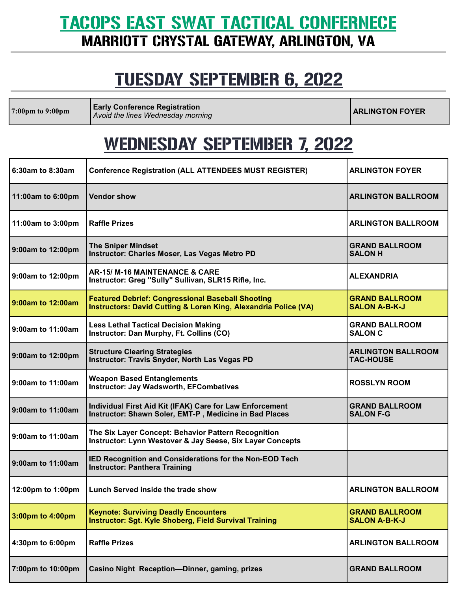#### TACOPS EAST SWAT TACTICAL CONFERNECE MARRIOTT CRYSTAL GATEWAY, ARLINGTON, VA

### TUESDAY SEPTEMBER 6, 2022

**7:00pm to 9:00pm Early Conference Registration Early Conference Registration**<br>Avoid the lines Wednesday morning

#### WEDNESDAY SEPTEMBER 7, 2022

| 6:30am to 8:30am  | <b>Conference Registration (ALL ATTENDEES MUST REGISTER)</b>                                                                           | <b>ARLINGTON FOYER</b>                        |
|-------------------|----------------------------------------------------------------------------------------------------------------------------------------|-----------------------------------------------|
| 11:00am to 6:00pm | <b>Vendor show</b>                                                                                                                     | <b>ARLINGTON BALLROOM</b>                     |
| 11:00am to 3:00pm | <b>Raffle Prizes</b>                                                                                                                   | <b>ARLINGTON BALLROOM</b>                     |
| 9:00am to 12:00pm | <b>The Sniper Mindset</b><br><b>Instructor: Charles Moser, Las Vegas Metro PD</b>                                                      | <b>GRAND BALLROOM</b><br><b>SALON H</b>       |
| 9:00am to 12:00pm | AR-15/M-16 MAINTENANCE & CARE<br>Instructor: Greg "Sully" Sullivan, SLR15 Rifle, Inc.                                                  | <b>ALEXANDRIA</b>                             |
| 9:00am to 12:00am | <b>Featured Debrief: Congressional Baseball Shooting</b><br><b>Instructors: David Cutting &amp; Loren King, Alexandria Police (VA)</b> | <b>GRAND BALLROOM</b><br><b>SALON A-B-K-J</b> |
| 9:00am to 11:00am | <b>Less Lethal Tactical Decision Making</b><br>Instructor: Dan Murphy, Ft. Collins (CO)                                                | <b>GRAND BALLROOM</b><br><b>SALON C</b>       |
| 9:00am to 12:00pm | <b>Structure Clearing Strategies</b><br><b>Instructor: Travis Snyder, North Las Vegas PD</b>                                           | <b>ARLINGTON BALLROOM</b><br><b>TAC-HOUSE</b> |
| 9:00am to 11:00am | <b>Weapon Based Entanglements</b><br><b>Instructor: Jay Wadsworth, EFCombatives</b>                                                    | <b>ROSSLYN ROOM</b>                           |
| 9:00am to 11:00am | Individual First Aid Kit (IFAK) Care for Law Enforcement<br>Instructor: Shawn Soler, EMT-P, Medicine in Bad Places                     | <b>GRAND BALLROOM</b><br><b>SALON F-G</b>     |
| 9:00am to 11:00am | The Six Layer Concept: Behavior Pattern Recognition<br>Instructor: Lynn Westover & Jay Seese, Six Layer Concepts                       |                                               |
| 9:00am to 11:00am | IED Recognition and Considerations for the Non-EOD Tech<br><b>Instructor: Panthera Training</b>                                        |                                               |
| 12:00pm to 1:00pm | Lunch Served inside the trade show                                                                                                     | <b>ARLINGTON BALLROOM</b>                     |
| 3:00pm to 4:00pm  | <b>Keynote: Surviving Deadly Encounters</b><br>Instructor: Sgt. Kyle Shoberg, Field Survival Training                                  | <b>GRAND BALLROOM</b><br><b>SALON A-B-K-J</b> |
| 4:30pm to 6:00pm  | <b>Raffle Prizes</b>                                                                                                                   | <b>ARLINGTON BALLROOM</b>                     |
| 7:00pm to 10:00pm | Casino Night Reception-Dinner, gaming, prizes                                                                                          | <b>GRAND BALLROOM</b>                         |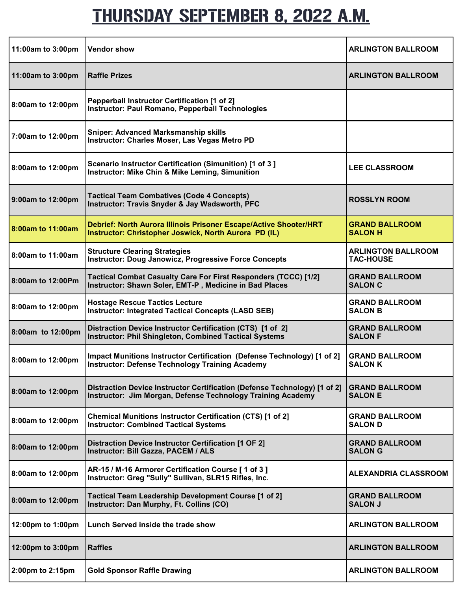### THURSDAY SEPTEMBER 8, 2022 A.M.

| 11:00am to 3:00pm | <b>Vendor show</b>                                                                                                                       | <b>ARLINGTON BALLROOM</b>                     |
|-------------------|------------------------------------------------------------------------------------------------------------------------------------------|-----------------------------------------------|
| 11:00am to 3:00pm | <b>Raffle Prizes</b>                                                                                                                     | <b>ARLINGTON BALLROOM</b>                     |
| 8:00am to 12:00pm | Pepperball Instructor Certification [1 of 2]<br>Instructor: Paul Romano, Pepperball Technologies                                         |                                               |
| 7:00am to 12:00pm | <b>Sniper: Advanced Marksmanship skills</b><br>Instructor: Charles Moser, Las Vegas Metro PD                                             |                                               |
| 8:00am to 12:00pm | Scenario Instructor Certification (Simunition) [1 of 3]<br><b>Instructor: Mike Chin &amp; Mike Leming, Simunition</b>                    | <b>LEE CLASSROOM</b>                          |
| 9:00am to 12:00pm | <b>Tactical Team Combatives (Code 4 Concepts)</b><br><b>Instructor: Travis Snyder &amp; Jay Wadsworth, PFC</b>                           | <b>ROSSLYN ROOM</b>                           |
| 8:00am to 11:00am | Debrief: North Aurora Illinois Prisoner Escape/Active Shooter/HRT<br>Instructor: Christopher Joswick, North Aurora PD (IL)               | <b>GRAND BALLROOM</b><br><b>SALON H</b>       |
| 8:00am to 11:00am | <b>Structure Clearing Strategies</b><br><b>Instructor: Doug Janowicz, Progressive Force Concepts</b>                                     | <b>ARLINGTON BALLROOM</b><br><b>TAC-HOUSE</b> |
| 8:00am to 12:00Pm | Tactical Combat Casualty Care For First Responders (TCCC) [1/2]<br>Instructor: Shawn Soler, EMT-P, Medicine in Bad Places                | <b>GRAND BALLROOM</b><br><b>SALON C</b>       |
| 8:00am to 12:00pm | <b>Hostage Rescue Tactics Lecture</b><br><b>Instructor: Integrated Tactical Concepts (LASD SEB)</b>                                      | <b>GRAND BALLROOM</b><br><b>SALON B</b>       |
| 8:00am to 12:00pm | Distraction Device Instructor Certification (CTS) [1 of 2]<br><b>Instructor: Phil Shingleton, Combined Tactical Systems</b>              | <b>GRAND BALLROOM</b><br><b>SALON F</b>       |
| 8:00am to 12:00pm | Impact Munitions Instructor Certification (Defense Technology) [1 of 2]<br><b>Instructor: Defense Technology Training Academy</b>        | <b>GRAND BALLROOM</b><br><b>SALON K</b>       |
| 8:00am to 12:00pm | Distraction Device Instructor Certification (Defense Technology) [1 of 2]<br>Instructor: Jim Morgan, Defense Technology Training Academy | <b>GRAND BALLROOM</b><br><b>SALON E</b>       |
| 8:00am to 12:00pm | <b>Chemical Munitions Instructor Certification (CTS) [1 of 2]</b><br><b>Instructor: Combined Tactical Systems</b>                        | <b>GRAND BALLROOM</b><br><b>SALON D</b>       |
| 8:00am to 12:00pm | <b>Distraction Device Instructor Certification [1 OF 2]</b><br>Instructor: Bill Gazza, PACEM / ALS                                       | <b>GRAND BALLROOM</b><br><b>SALON G</b>       |
| 8:00am to 12:00pm | AR-15 / M-16 Armorer Certification Course [ 1 of 3 ]<br>Instructor: Greg "Sully" Sullivan, SLR15 Rifles, Inc.                            | <b>ALEXANDRIA CLASSROOM</b>                   |
| 8:00am to 12:00pm | Tactical Team Leadership Development Course [1 of 2]<br>Instructor: Dan Murphy, Ft. Collins (CO)                                         | <b>GRAND BALLROOM</b><br><b>SALON J</b>       |
| 12:00pm to 1:00pm | Lunch Served inside the trade show                                                                                                       | <b>ARLINGTON BALLROOM</b>                     |
| 12:00pm to 3:00pm | <b>Raffles</b>                                                                                                                           | <b>ARLINGTON BALLROOM</b>                     |
| 2:00pm to 2:15pm  | <b>Gold Sponsor Raffle Drawing</b>                                                                                                       | <b>ARLINGTON BALLROOM</b>                     |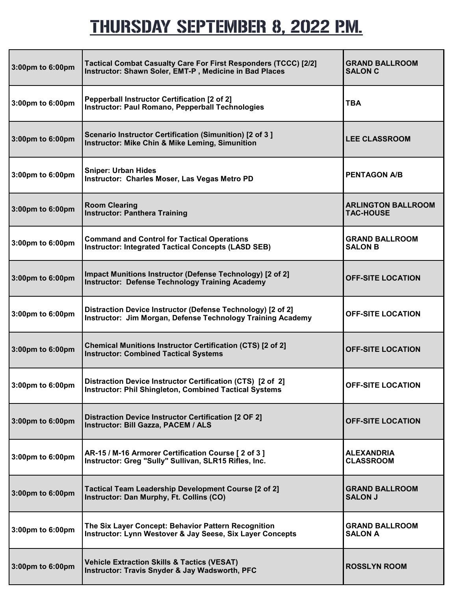# THURSDAY SEPTEMBER 8, 2022 P.M.

| 3:00pm to 6:00pm | Tactical Combat Casualty Care For First Responders (TCCC) [2/2]<br>Instructor: Shawn Soler, EMT-P, Medicine in Bad Places   | <b>GRAND BALLROOM</b><br><b>SALON C</b>       |
|------------------|-----------------------------------------------------------------------------------------------------------------------------|-----------------------------------------------|
| 3:00pm to 6:00pm | Pepperball Instructor Certification [2 of 2]<br>Instructor: Paul Romano, Pepperball Technologies                            | <b>TBA</b>                                    |
| 3:00pm to 6:00pm | Scenario Instructor Certification (Simunition) [2 of 3]<br><b>Instructor: Mike Chin &amp; Mike Leming, Simunition</b>       | <b>LEE CLASSROOM</b>                          |
| 3:00pm to 6:00pm | <b>Sniper: Urban Hides</b><br>Instructor: Charles Moser, Las Vegas Metro PD                                                 | <b>PENTAGON A/B</b>                           |
| 3:00pm to 6:00pm | <b>Room Clearing</b><br><b>Instructor: Panthera Training</b>                                                                | <b>ARLINGTON BALLROOM</b><br><b>TAC-HOUSE</b> |
| 3:00pm to 6:00pm | <b>Command and Control for Tactical Operations</b><br><b>Instructor: Integrated Tactical Concepts (LASD SEB)</b>            | <b>GRAND BALLROOM</b><br><b>SALON B</b>       |
| 3:00pm to 6:00pm | Impact Munitions Instructor (Defense Technology) [2 of 2]<br><b>Instructor: Defense Technology Training Academy</b>         | <b>OFF-SITE LOCATION</b>                      |
| 3:00pm to 6:00pm | Distraction Device Instructor (Defense Technology) [2 of 2]<br>Instructor: Jim Morgan, Defense Technology Training Academy  | <b>OFF-SITE LOCATION</b>                      |
| 3:00pm to 6:00pm | Chemical Munitions Instructor Certification (CTS) [2 of 2]<br><b>Instructor: Combined Tactical Systems</b>                  | <b>OFF-SITE LOCATION</b>                      |
| 3:00pm to 6:00pm | Distraction Device Instructor Certification (CTS) [2 of 2]<br><b>Instructor: Phil Shingleton, Combined Tactical Systems</b> | <b>OFF-SITE LOCATION</b>                      |
| 3:00pm to 6:00pm | Distraction Device Instructor Certification [2 OF 2]<br>Instructor: Bill Gazza, PACEM / ALS                                 | <b>OFF-SITE LOCATION</b>                      |
| 3:00pm to 6:00pm | AR-15 / M-16 Armorer Certification Course [ 2 of 3 ]<br>Instructor: Greg "Sully" Sullivan, SLR15 Rifles, Inc.               | <b>ALEXANDRIA</b><br><b>CLASSROOM</b>         |
| 3:00pm to 6:00pm | Tactical Team Leadership Development Course [2 of 2]<br>Instructor: Dan Murphy, Ft. Collins (CO)                            | <b>GRAND BALLROOM</b><br><b>SALON J</b>       |
| 3:00pm to 6:00pm | The Six Layer Concept: Behavior Pattern Recognition<br>Instructor: Lynn Westover & Jay Seese, Six Layer Concepts            | <b>GRAND BALLROOM</b><br><b>SALON A</b>       |
| 3:00pm to 6:00pm | <b>Vehicle Extraction Skills &amp; Tactics (VESAT)</b><br>Instructor: Travis Snyder & Jay Wadsworth, PFC                    | <b>ROSSLYN ROOM</b>                           |